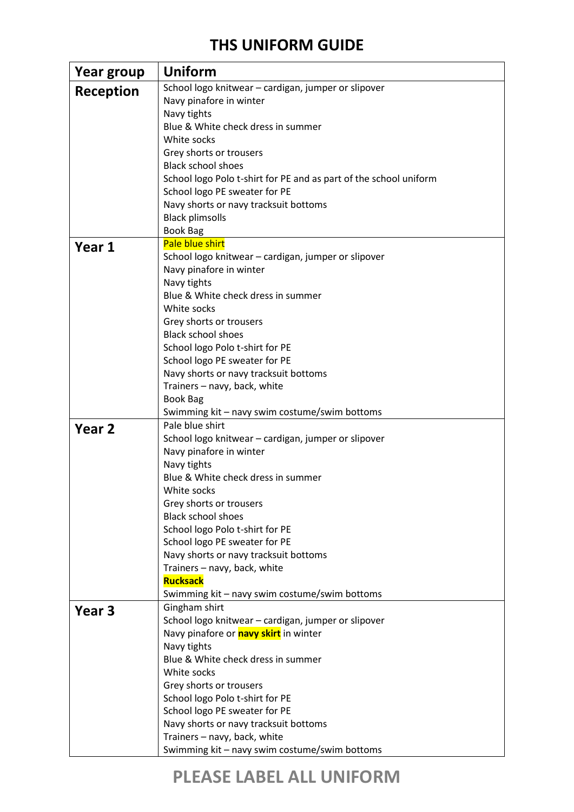### **THS UNIFORM GUIDE**

| Year group        | Uniform                                                           |
|-------------------|-------------------------------------------------------------------|
| Reception         | School logo knitwear - cardigan, jumper or slipover               |
|                   | Navy pinafore in winter                                           |
|                   | Navy tights                                                       |
|                   | Blue & White check dress in summer                                |
|                   | White socks                                                       |
|                   | Grey shorts or trousers                                           |
|                   | <b>Black school shoes</b>                                         |
|                   | School logo Polo t-shirt for PE and as part of the school uniform |
|                   | School logo PE sweater for PE                                     |
|                   | Navy shorts or navy tracksuit bottoms                             |
|                   | <b>Black plimsolls</b>                                            |
|                   | <b>Book Bag</b>                                                   |
| Year 1            | Pale blue shirt                                                   |
|                   | School logo knitwear - cardigan, jumper or slipover               |
|                   | Navy pinafore in winter                                           |
|                   | Navy tights                                                       |
|                   | Blue & White check dress in summer                                |
|                   | White socks                                                       |
|                   | Grey shorts or trousers                                           |
|                   | <b>Black school shoes</b>                                         |
|                   | School logo Polo t-shirt for PE                                   |
|                   | School logo PE sweater for PE                                     |
|                   | Navy shorts or navy tracksuit bottoms                             |
|                   | Trainers - navy, back, white                                      |
|                   | <b>Book Bag</b>                                                   |
|                   | Swimming kit - navy swim costume/swim bottoms                     |
| Year <sub>2</sub> | Pale blue shirt                                                   |
|                   | School logo knitwear - cardigan, jumper or slipover               |
|                   | Navy pinafore in winter                                           |
|                   | Navy tights                                                       |
|                   | Blue & White check dress in summer                                |
|                   | White socks                                                       |
|                   | Grey shorts or trousers                                           |
|                   | <b>Black school shoes</b>                                         |
|                   | School logo Polo t-shirt for PE                                   |
|                   | School logo PE sweater for PE                                     |
|                   | Navy shorts or navy tracksuit bottoms                             |
|                   | Trainers - navy, back, white                                      |
|                   | <b>Rucksack</b>                                                   |
|                   | Swimming kit - navy swim costume/swim bottoms                     |
| Year <sub>3</sub> | Gingham shirt                                                     |
|                   | School logo knitwear - cardigan, jumper or slipover               |
|                   | Navy pinafore or <b>navy skirt</b> in winter                      |
|                   | Navy tights<br>Blue & White check dress in summer                 |
|                   | White socks                                                       |
|                   | Grey shorts or trousers                                           |
|                   | School logo Polo t-shirt for PE                                   |
|                   | School logo PE sweater for PE                                     |
|                   | Navy shorts or navy tracksuit bottoms                             |
|                   | Trainers - navy, back, white                                      |
|                   | Swimming kit - navy swim costume/swim bottoms                     |
|                   |                                                                   |

# **PLEASE LABEL ALL UNIFORM**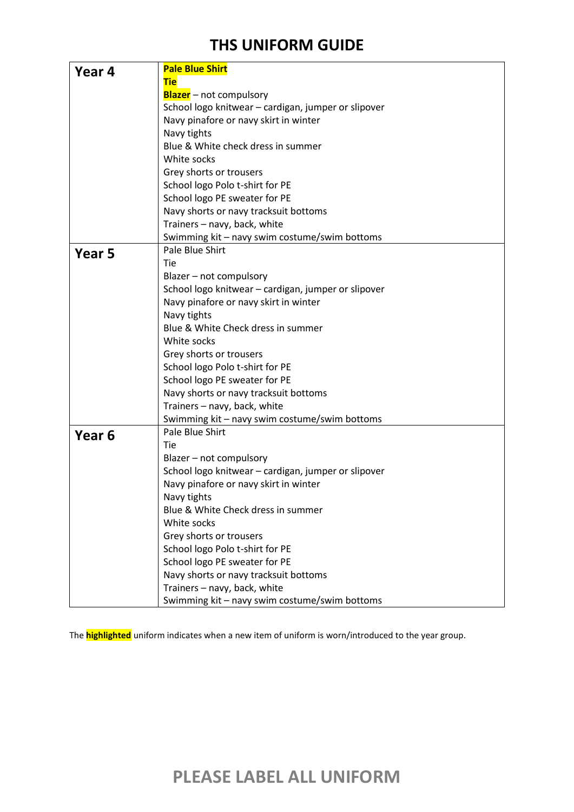### **THS UNIFORM GUIDE**

| Year 4            | <b>Pale Blue Shirt</b>                              |
|-------------------|-----------------------------------------------------|
|                   | <b>Tie</b>                                          |
|                   | <b>Blazer</b> – not compulsory                      |
|                   | School logo knitwear - cardigan, jumper or slipover |
|                   | Navy pinafore or navy skirt in winter               |
|                   | Navy tights                                         |
|                   | Blue & White check dress in summer                  |
|                   | White socks                                         |
|                   | Grey shorts or trousers                             |
|                   | School logo Polo t-shirt for PE                     |
|                   | School logo PE sweater for PE                       |
|                   | Navy shorts or navy tracksuit bottoms               |
|                   | Trainers - navy, back, white                        |
|                   | Swimming kit - navy swim costume/swim bottoms       |
| Year 5            | Pale Blue Shirt                                     |
|                   | Tie                                                 |
|                   | Blazer - not compulsory                             |
|                   | School logo knitwear - cardigan, jumper or slipover |
|                   | Navy pinafore or navy skirt in winter               |
|                   | Navy tights                                         |
|                   | Blue & White Check dress in summer                  |
|                   | White socks                                         |
|                   | Grey shorts or trousers                             |
|                   | School logo Polo t-shirt for PE                     |
|                   | School logo PE sweater for PE                       |
|                   | Navy shorts or navy tracksuit bottoms               |
|                   | Trainers - navy, back, white                        |
|                   | Swimming kit - navy swim costume/swim bottoms       |
| Year <sub>6</sub> | Pale Blue Shirt                                     |
|                   | Tie                                                 |
|                   | Blazer - not compulsory                             |
|                   | School logo knitwear - cardigan, jumper or slipover |
|                   | Navy pinafore or navy skirt in winter               |
|                   | Navy tights                                         |
|                   | Blue & White Check dress in summer                  |
|                   | White socks                                         |
|                   | Grey shorts or trousers                             |
|                   | School logo Polo t-shirt for PE                     |
|                   | School logo PE sweater for PE                       |
|                   | Navy shorts or navy tracksuit bottoms               |
|                   | Trainers - navy, back, white                        |
|                   |                                                     |
|                   | Swimming kit - navy swim costume/swim bottoms       |

The **highlighted** uniform indicates when a new item of uniform is worn/introduced to the year group.